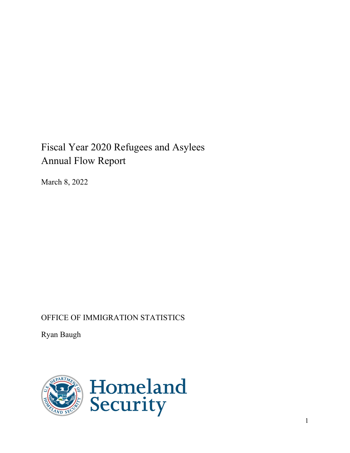# Fiscal Year 2020 Refugees and Asylees Annual Flow Report

March 8, 2022

OFFICE OF IMMIGRATION STATISTICS

Ryan Baugh

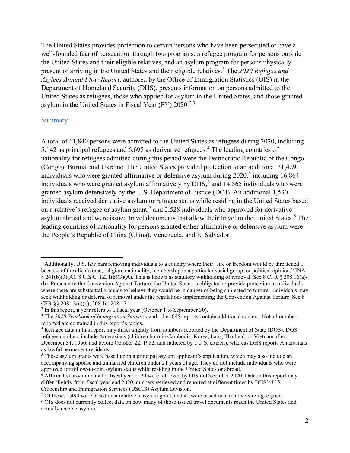The United States provides protection to certain persons who have been persecuted or have a well-founded fear of persecution through two programs: a refugee program for persons outside the United States and their eligible relatives, and an asylum program for persons physically present or arriving in the United States and their eligible relatives.[1](#page-1-0) The *2020 Refugee and Asylees Annual Flow Report*, authored by the Office of Immigration Statistics (OIS) in the Department of Homeland Security (DHS), presents information on persons admitted to the United States as refugees, those who applied for asylum in the United States, and those granted asylum in the United States in Fiscal Year (FY)  $2020^{2,3}$  $2020^{2,3}$  $2020^{2,3}$  $2020^{2,3}$ 

#### Summary

A total of 11,840 persons were admitted to the United States as refugees during 2020, including 5,1[4](#page-1-3)2 as principal refugees and 6,698 as derivative refugees.<sup>4</sup> The leading countries of nationality for refugees admitted during this period were the Democratic Republic of the Congo (Congo), Burma, and Ukraine. The United States provided protection to an additional 31,429 individuals who were granted affirmative or defensive asylum during  $2020$ ,<sup>[5](#page-1-4)</sup> including 16,864 individuals who were granted asylum affirmatively by  $\text{DHS},^6$  $\text{DHS},^6$  and 14,565 individuals who were granted asylum defensively by the U.S. Department of Justice (DOJ). An additional 1,530 individuals received derivative asylum or refugee status while residing in the United States based on a relative's refugee or asylum grant,<sup>[7](#page-1-6)</sup> and 2,528 individuals who approved for derivative asylum abroad and were issued travel documents that allow their travel to the United States.<sup>[8](#page-1-7)</sup> The leading countries of nationality for persons granted either affirmative or defensive asylum were the People's Republic of China (China), Venezuela, and El Salvador.

<span id="page-1-0"></span> $1$  Additionally, U.S. law bars removing individuals to a country where their "life or freedom would be threatened ... because of the alien's race, religion, nationality, membership in a particular social group, or political opinion." INA  $\S$  241(b)(3)(A); 8 U.S.C. 1231(b)(3)(A). This is known as statutory withholding of removal. See 8 CFR  $\S$  208.16(a)-(b). Pursuant to the Convention Against Torture, the United States is obligated to provide protection to individuals where there are substantial grounds to believe they would be in danger of being subjected to torture. Individuals may seek withholding or deferral of removal under the regulations implementing the Convention Against Torture. See 8 CFR §§ 208.13(c)(1), 208.16, 208.17.

<span id="page-1-1"></span> $2$  In this report, a year refers to a fiscal year (October 1 to September 30).

<span id="page-1-2"></span><sup>3</sup> The *2020 Yearbook of Immigration Statistics* and other OIS reports contain additional context. Not all numbers reported are contained in this report's tables.

<span id="page-1-3"></span><sup>4</sup> Refugee data in this report may differ slightly from numbers reported by the Department of State (DOS). DOS refugee numbers include Amerasians (children born in Cambodia, Korea, Laos, Thailand, or Vietnam after December 31, 1950, and before October 22, 1982, and fathered by a U.S. citizen), whereas DHS reports Amerasians as lawful permanent residents.

<span id="page-1-4"></span><sup>5</sup> These asylum grants were based upon a principal asylum applicant's application, which may also include an accompanying spouse and unmarried children under 21 years of age. They do not include individuals who were approved for follow-to-join asylum status while residing in the United States or abroad.

<span id="page-1-5"></span><sup>6</sup> Affirmative asylum data for fiscal year 2020 were retrieved by OIS in December 2020. Data in this report may differ slightly from fiscal year-end 2020 numbers retrieved and reported at different times by DHS's U.S. Citizenship and Immigration Services (USCIS) Asylum Division.

<span id="page-1-6"></span><sup>&</sup>lt;sup>7</sup> Of these, 1,490 were based on a relative's asylum grant, and 40 were based on a relative's refugee grant.

<span id="page-1-7"></span><sup>&</sup>lt;sup>8</sup> OIS does not currently collect data on how many of those issued travel documents reach the United States and actually receive asylum.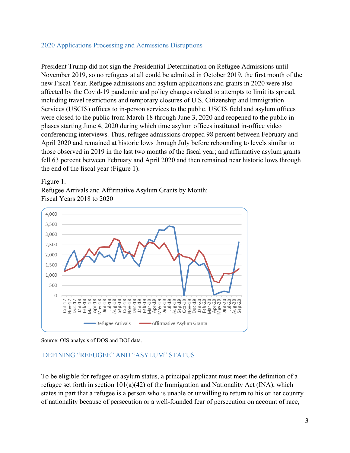## 2020 Applications Processing and Admissions Disruptions

President Trump did not sign the Presidential Determination on Refugee Admissions until November 2019, so no refugees at all could be admitted in October 2019, the first month of the new Fiscal Year. Refugee admissions and asylum applications and grants in 2020 were also affected by the Covid-19 pandemic and policy changes related to attempts to limit its spread, including travel restrictions and temporary closures of U.S. Citizenship and Immigration Services (USCIS) offices to in-person services to the public. USCIS field and asylum offices were closed to the public from March 18 through June 3, 2020 and reopened to the public in phases starting June 4, 2020 during which time asylum offices instituted in-office video conferencing interviews. Thus, refugee admissions dropped 98 percent between February and April 2020 and remained at historic lows through July before rebounding to levels similar to those observed in 2019 in the last two months of the fiscal year; and affirmative asylum grants fell 63 percent between February and April 2020 and then remained near historic lows through the end of the fiscal year (Figure 1).

#### Figure 1.

Refugee Arrivals and Affirmative Asylum Grants by Month: Fiscal Years 2018 to 2020



Source: OIS analysis of DOS and DOJ data.

# DEFINING "REFUGEE" AND "ASYLUM" STATUS

To be eligible for refugee or asylum status, a principal applicant must meet the definition of a refugee set forth in section  $101(a)(42)$  of the Immigration and Nationality Act (INA), which states in part that a refugee is a person who is unable or unwilling to return to his or her country of nationality because of persecution or a well-founded fear of persecution on account of race,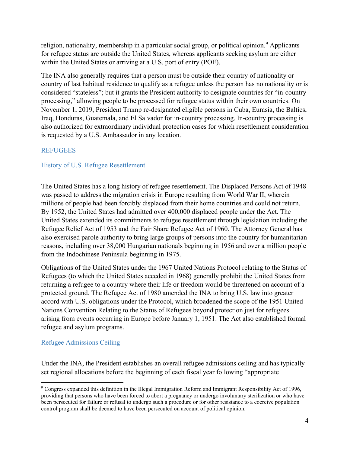religion, nationality, membership in a particular social group, or political opinion.<sup>[9](#page-3-0)</sup> Applicants for refugee status are outside the United States, whereas applicants seeking asylum are either within the United States or arriving at a U.S. port of entry (POE).

The INA also generally requires that a person must be outside their country of nationality or country of last habitual residence to qualify as a refugee unless the person has no nationality or is considered "stateless"; but it grants the President authority to designate countries for "in-country processing," allowing people to be processed for refugee status within their own countries. On November 1, 2019, President Trump re-designated eligible persons in Cuba, Eurasia, the Baltics, Iraq, Honduras, Guatemala, and El Salvador for in-country processing. In-country processing is also authorized for extraordinary individual protection cases for which resettlement consideration is requested by a U.S. Ambassador in any location.

## **REFUGEES**

# History of U.S. Refugee Resettlement

The United States has a long history of refugee resettlement. The Displaced Persons Act of 1948 was passed to address the migration crisis in Europe resulting from World War II, wherein millions of people had been forcibly displaced from their home countries and could not return. By 1952, the United States had admitted over 400,000 displaced people under the Act. The United States extended its commitments to refugee resettlement through legislation including the Refugee Relief Act of 1953 and the Fair Share Refugee Act of 1960. The Attorney General has also exercised parole authority to bring large groups of persons into the country for humanitarian reasons, including over 38,000 Hungarian nationals beginning in 1956 and over a million people from the Indochinese Peninsula beginning in 1975.

Obligations of the United States under the 1967 United Nations Protocol relating to the Status of Refugees (to which the United States acceded in 1968) generally prohibit the United States from returning a refugee to a country where their life or freedom would be threatened on account of a protected ground. The Refugee Act of 1980 amended the INA to bring U.S. law into greater accord with U.S. obligations under the Protocol, which broadened the scope of the 1951 United Nations Convention Relating to the Status of Refugees beyond protection just for refugees arising from events occurring in Europe before January 1, 1951. The Act also established formal refugee and asylum programs.

## Refugee Admissions Ceiling

Under the INA, the President establishes an overall refugee admissions ceiling and has typically set regional allocations before the beginning of each fiscal year following "appropriate

<span id="page-3-0"></span><sup>9</sup> Congress expanded this definition in the Illegal Immigration Reform and Immigrant Responsibility Act of 1996, providing that persons who have been forced to abort a pregnancy or undergo involuntary sterilization or who have been persecuted for failure or refusal to undergo such a procedure or for other resistance to a coercive population control program shall be deemed to have been persecuted on account of political opinion.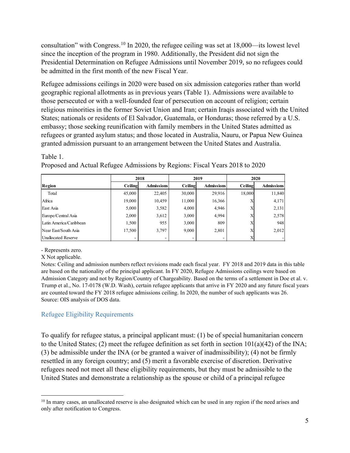consultation" with Congress.<sup>10</sup> In 2020, the refugee ceiling was set at  $18,000$ —its lowest level since the inception of the program in 1980. Additionally, the President did not sign the Presidential Determination on Refugee Admissions until November 2019, so no refugees could be admitted in the first month of the new Fiscal Year.

Refugee admissions ceilings in 2020 were based on six admission categories rather than world geographic regional allotments as in previous years (Table 1). Admissions were available to those persecuted or with a well-founded fear of persecution on account of religion; certain religious minorities in the former Soviet Union and Iran; certain Iraqis associated with the United States; nationals or residents of El Salvador, Guatemala, or Honduras; those referred by a U.S. embassy; those seeking reunification with family members in the United States admitted as refugees or granted asylum status; and those located in Australia, Nauru, or Papua New Guinea granted admission pursuant to an arrangement between the United States and Australia.

|                            | 2018           |                   |                | 2019              | 2020    |                   |
|----------------------------|----------------|-------------------|----------------|-------------------|---------|-------------------|
| Region                     | <b>Ceiling</b> | <b>Admissions</b> | <b>Ceiling</b> | <b>Admissions</b> | Ceiling | <b>Admissions</b> |
| Total                      | 45,000         | 22,405            | 30,000         | 29,916            | 18.000  | 11,840            |
| Africa                     | 19,000         | 10,459            | 11,000         | 16,366            | х       | 4,171             |
| East Asia                  | 5,000          | 3,582             | 4,000          | 4,946             | Х       | 2,131             |
| Europe/Central Asia        | 2,000          | 3,612             | 3,000          | 4,994             | X       | 2,578             |
| Latin America/Caribbean    | 1,500          | 955               | 3,000          | 809               | Х       | 948               |
| Near East/South Asia       | 17.500         | 3,797             | 9,000          | 2,801             | Х       | 2,012             |
| <b>Unallocated Reserve</b> |                | ۰                 |                | ۰                 | Х       |                   |

Proposed and Actual Refugee Admissions by Regions: Fiscal Years 2018 to 2020

- Represents zero.

Table 1.

X Not applicable.

Notes: Ceiling and admission numbers reflect revisions made each fiscal year. FY 2018 and 2019 data in this table are based on the nationality of the principal applicant. In FY 2020, Refugee Admissions ceilings were based on Admission Category and not by Region/Country of Chargeability. Based on the terms of a settlement in Doe et al. v. Trump et al., No. 17-0178 (W.D. Wash), certain refugee applicants that arrive in FY 2020 and any future fiscal years are counted toward the FY 2018 refugee admissions ceiling. In 2020, the number of such applicants was 26. Source: OIS analysis of DOS data.

## Refugee Eligibility Requirements

To qualify for refugee status, a principal applicant must: (1) be of special humanitarian concern to the United States; (2) meet the refugee definition as set forth in section 101(a)(42) of the INA; (3) be admissible under the INA (or be granted a waiver of inadmissibility); (4) not be firmly resettled in any foreign country; and (5) merit a favorable exercise of discretion. Derivative refugees need not meet all these eligibility requirements, but they must be admissible to the United States and demonstrate a relationship as the spouse or child of a principal refugee

<span id="page-4-0"></span><sup>&</sup>lt;sup>10</sup> In many cases, an unallocated reserve is also designated which can be used in any region if the need arises and only after notification to Congress.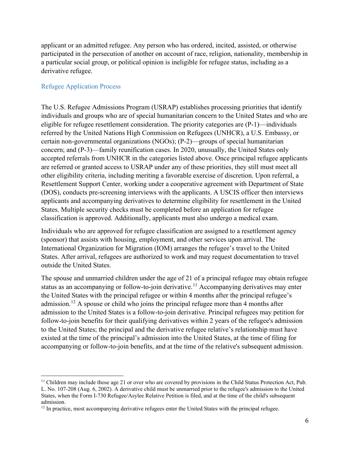applicant or an admitted refugee. Any person who has ordered, incited, assisted, or otherwise participated in the persecution of another on account of race, religion, nationality, membership in a particular social group, or political opinion is ineligible for refugee status, including as a derivative refugee.

#### Refugee Application Process

The U.S. Refugee Admissions Program (USRAP) establishes processing priorities that identify individuals and groups who are of special humanitarian concern to the United States and who are eligible for refugee resettlement consideration. The priority categories are (P-1)—individuals referred by the United Nations High Commission on Refugees (UNHCR), a U.S. Embassy, or certain non-governmental organizations (NGOs); (P-2)—groups of special humanitarian concern; and (P-3)—family reunification cases. In 2020, unusually, the United States only accepted referrals from UNHCR in the categories listed above. Once principal refugee applicants are referred or granted access to USRAP under any of these priorities, they still must meet all other eligibility criteria, including meriting a favorable exercise of discretion. Upon referral, a Resettlement Support Center, working under a cooperative agreement with Department of State (DOS), conducts pre-screening interviews with the applicants. A USCIS officer then interviews applicants and accompanying derivatives to determine eligibility for resettlement in the United States. Multiple security checks must be completed before an application for refugee classification is approved. Additionally, applicants must also undergo a medical exam.

Individuals who are approved for refugee classification are assigned to a resettlement agency (sponsor) that assists with housing, employment, and other services upon arrival. The International Organization for Migration (IOM) arranges the refugee's travel to the United States. After arrival, refugees are authorized to work and may request documentation to travel outside the United States.

The spouse and unmarried children under the age of 21 of a principal refugee may obtain refugee status as an accompanying or follow-to-join derivative.<sup>[11](#page-5-0)</sup> Accompanying derivatives may enter the United States with the principal refugee or within 4 months after the principal refugee's admission.<sup>[12](#page-5-1)</sup> A spouse or child who joins the principal refugee more than 4 months after admission to the United States is a follow-to-join derivative. Principal refugees may petition for follow-to-join benefits for their qualifying derivatives within 2 years of the refugee's admission to the United States; the principal and the derivative refugee relative's relationship must have existed at the time of the principal's admission into the United States, at the time of filing for accompanying or follow-to-join benefits, and at the time of the relative's subsequent admission.

<span id="page-5-0"></span> $11$  Children may include those age 21 or over who are covered by provisions in the Child Status Protection Act, Pub. L. No. 107-208 (Aug. 6, 2002). A derivative child must be unmarried prior to the refugee's admission to the United States, when the Form I-730 Refugee/Asylee Relative Petition is filed, and at the time of the child's subsequent

<span id="page-5-1"></span> $12$  In practice, most accompanying derivative refugees enter the United States with the principal refugee.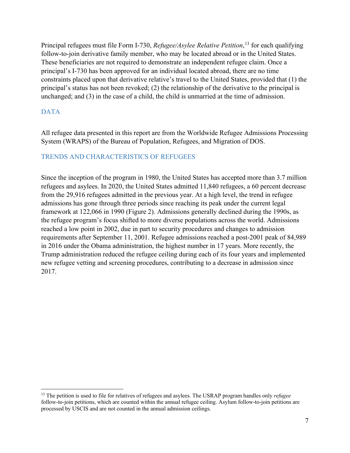Principal refugees must file Form I-730, *Refugee/Asylee Relative Petition*,<sup>[13](#page-6-0)</sup> for each qualifying follow-to-join derivative family member, who may be located abroad or in the United States. These beneficiaries are not required to demonstrate an independent refugee claim. Once a principal's I-730 has been approved for an individual located abroad, there are no time constraints placed upon that derivative relative's travel to the United States, provided that (1) the principal's status has not been revoked; (2) the relationship of the derivative to the principal is unchanged; and (3) in the case of a child, the child is unmarried at the time of admission.

## DATA

All refugee data presented in this report are from the Worldwide Refugee Admissions Processing System (WRAPS) of the Bureau of Population, Refugees, and Migration of DOS.

## TRENDS AND CHARACTERISTICS OF REFUGEES

Since the inception of the program in 1980, the United States has accepted more than 3.7 million refugees and asylees. In 2020, the United States admitted 11,840 refugees, a 60 percent decrease from the 29,916 refugees admitted in the previous year. At a high level, the trend in refugee admissions has gone through three periods since reaching its peak under the current legal framework at 122,066 in 1990 (Figure 2). Admissions generally declined during the 1990s, as the refugee program's focus shifted to more diverse populations across the world. Admissions reached a low point in 2002, due in part to security procedures and changes to admission requirements after September 11, 2001. Refugee admissions reached a post-2001 peak of 84,989 in 2016 under the Obama administration, the highest number in 17 years. More recently, the Trump administration reduced the refugee ceiling during each of its four years and implemented new refugee vetting and screening procedures, contributing to a decrease in admission since 2017.

<span id="page-6-0"></span><sup>13</sup> The petition is used to file for relatives of refugees and asylees. The USRAP program handles only *refugee*  follow-to-join petitions, which are counted within the annual refugee ceiling. Asylum follow-to-join petitions are processed by USCIS and are not counted in the annual admission ceilings.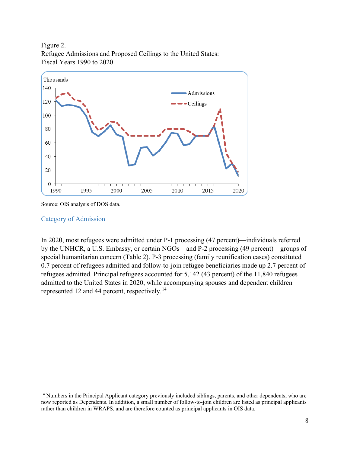Figure 2. Refugee Admissions and Proposed Ceilings to the United States: Fiscal Years 1990 to 2020



Source: OIS analysis of DOS data.

#### Category of Admission

In 2020, most refugees were admitted under P-1 processing (47 percent)—individuals referred by the UNHCR, a U.S. Embassy, or certain NGOs—and P-2 processing (49 percent)—groups of special humanitarian concern (Table 2). P-3 processing (family reunification cases) constituted 0.7 percent of refugees admitted and follow-to-join refugee beneficiaries made up 2.7 percent of refugees admitted. Principal refugees accounted for 5,142 (43 percent) of the 11,840 refugees admitted to the United States in 2020, while accompanying spouses and dependent children represented 12 and 44 percent, respectively.<sup>[14](#page-7-0)</sup>

<span id="page-7-0"></span><sup>&</sup>lt;sup>14</sup> Numbers in the Principal Applicant category previously included siblings, parents, and other dependents, who are now reported as Dependents. In addition, a small number of follow-to-join children are listed as principal applicants rather than children in WRAPS, and are therefore counted as principal applicants in OIS data.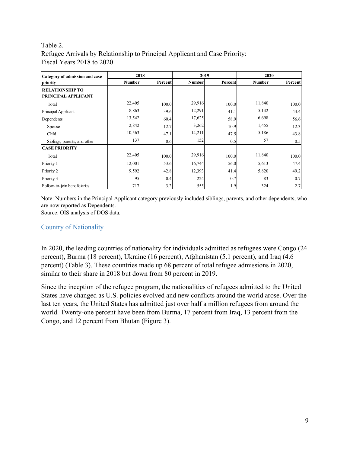# Table 2. Refugee Arrivals by Relationship to Principal Applicant and Case Priority: Fiscal Years 2018 to 2020

| Category of admission and case                       |        | 2018    | 2019   |         | 2020   |         |
|------------------------------------------------------|--------|---------|--------|---------|--------|---------|
| priority                                             | Number | Percent | Number | Percent | Number | Percent |
| <b>RELATIONSHIP TO</b><br><b>PRINCIPAL APPLICANT</b> |        |         |        |         |        |         |
| Total                                                | 22,405 | 100.0   | 29,916 | 100.0   | 11,840 | 100.0   |
| Principal Applicant                                  | 8,863  | 39.6    | 12,291 | 41.1    | 5,142  | 43.4    |
| Dependents                                           | 13,542 | 60.4    | 17,625 | 58.9    | 6,698  | 56.6    |
| Spouse                                               | 2,842  | 12.7    | 3,262  | 10.9    | 1,455  | 12.3    |
| Child                                                | 10,563 | 47.1    | 14,211 | 47.5    | 5,186  | 43.8    |
| Siblings, parents, and other                         | 137    | 0.6     | 152    | 0.5     | 57     | 0.5     |
| <b>CASE PRIORITY</b>                                 |        |         |        |         |        |         |
| Total                                                | 22,405 | 100.0   | 29,916 | 100.0   | 11,840 | 100.0   |
| Priority 1                                           | 12,001 | 53.6    | 16,744 | 56.0    | 5,613  | 47.4    |
| Priority 2                                           | 9,592  | 42.8    | 12,393 | 41.4    | 5,820  | 49.2    |
| Priority 3                                           | 95     | 0.4     | 224    | 0.7     | 83     | 0.7     |
| Follow-to-join beneficiaries                         | 717    | 3.2     | 555    | 1.9     | 324    | 2.7     |

Note: Numbers in the Principal Applicant category previously included siblings, parents, and other dependents, who are now reported as Dependents.

Source: OIS analysis of DOS data.

#### Country of Nationality

In 2020, the leading countries of nationality for individuals admitted as refugees were Congo (24 percent), Burma (18 percent), Ukraine (16 percent), Afghanistan (5.1 percent), and Iraq (4.6 percent) (Table 3). These countries made up 68 percent of total refugee admissions in 2020, similar to their share in 2018 but down from 80 percent in 2019.

Since the inception of the refugee program, the nationalities of refugees admitted to the United States have changed as U.S. policies evolved and new conflicts around the world arose. Over the last ten years, the United States has admitted just over half a million refugees from around the world. Twenty-one percent have been from Burma, 17 percent from Iraq, 13 percent from the Congo, and 12 percent from Bhutan (Figure 3).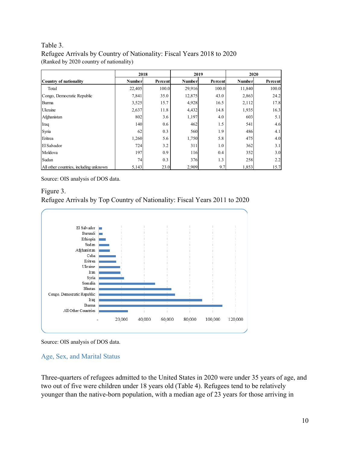## Table 3. Refugee Arrivals by Country of Nationality: Fiscal Years 2018 to 2020 (Ranked by 2020 country of nationality)

|                                        | 2018   |         | 2019   |         |               | 2020    |
|----------------------------------------|--------|---------|--------|---------|---------------|---------|
| Country of nationality                 | Number | Percent | Number | Percent | <b>Number</b> | Percent |
| Total                                  | 22,405 | 100.0   | 29,916 | 100.0   | 11,840        | 100.0   |
| Congo, Democratic Republic             | 7,841  | 35.0    | 12,875 | 43.0    | 2,863         | 24.2    |
| Burma                                  | 3,525  | 15.7    | 4,928  | 16.5    | 2,112         | 17.8    |
| Ukraine                                | 2,637  | 11.8    | 4,432  | 14.8    | 1,935         | 16.3    |
| Afghanistan                            | 802    | 3.6     | 1,197  | 4.0     | 603           | 5.1     |
| Iraq                                   | 140    | 0.6     | 462    | 1.5     | 541           | 4.6     |
| Syria                                  | 62     | 0.3     | 560    | 1.9     | 486           | 4.1     |
| Eritrea                                | 1,260  | 5.6     | 1,750  | 5.8     | 475           | 4.0     |
| El Salvador                            | 724    | 3.2     | 311    | 1.0     | 362           | 3.1     |
| Moldova                                | 197    | 0.9     | 116    | 0.4     | 352           | 3.0     |
| Sudan                                  | 74     | 0.3     | 376    | 1.3     | 258           | 2.2     |
| All other countries, including unknown | 5,143  | 23.0    | 2,909  | 9.7     | 1,853         | 15.7    |

Source: OIS analysis of DOS data.

## Figure 3.







## Age, Sex, and Marital Status

Three-quarters of refugees admitted to the United States in 2020 were under 35 years of age, and two out of five were children under 18 years old (Table 4). Refugees tend to be relatively younger than the native-born population, with a median age of 23 years for those arriving in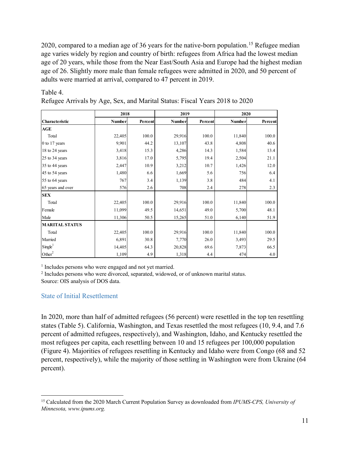2020, compared to a median age of 36 years for the native-born population.<sup>[15](#page-10-0)</sup> Refugee median age varies widely by region and country of birth: refugees from Africa had the lowest median age of 20 years, while those from the Near East/South Asia and Europe had the highest median age of 26. Slightly more male than female refugees were admitted in 2020, and 50 percent of adults were married at arrival, compared to 47 percent in 2019.

## Table 4.

|                       | 2018          |         | 2019   |         | 2020   |         |
|-----------------------|---------------|---------|--------|---------|--------|---------|
| Characteristic        | <b>Number</b> | Percent | Number | Percent | Number | Percent |
| <b>AGE</b>            |               |         |        |         |        |         |
| Total                 | 22,405        | 100.0   | 29,916 | 100.0   | 11,840 | 100.0   |
| 0 to 17 years         | 9,901         | 44.2    | 13,107 | 43.8    | 4,808  | 40.6    |
| 18 to 24 years        | 3,418         | 15.3    | 4,286  | 14.3    | 1,584  | 13.4    |
| 25 to 34 years        | 3,816         | 17.0    | 5,795  | 19.4    | 2,504  | 21.1    |
| 35 to 44 years        | 2,447         | 10.9    | 3,212  | 10.7    | 1,426  | 12.0    |
| 45 to 54 years        | 1,480         | 6.6     | 1,669  | 5.6     | 756    | 6.4     |
| 55 to $64$ years      | 767           | 3.4     | 1,139  | 3.8     | 484    | 4.1     |
| 65 years and over     | 576           | 2.6     | 708    | 2.4     | 278    | 2.3     |
| <b>SEX</b>            |               |         |        |         |        |         |
| Total                 | 22,405        | 100.0   | 29,916 | 100.0   | 11,840 | 100.0   |
| Female                | 11,099        | 49.5    | 14,651 | 49.0    | 5,700  | 48.1    |
| Male                  | 11,306        | 50.5    | 15,265 | 51.0    | 6,140  | 51.9    |
| <b>MARITAL STATUS</b> |               |         |        |         |        |         |
| Total                 | 22,405        | 100.0   | 29,916 | 100.0   | 11,840 | 100.0   |
| Married               | 6,891         | 30.8    | 7,770  | 26.0    | 3,493  | 29.5    |
| $\text{Single}^1$     | 14,405        | 64.3    | 20,828 | 69.6    | 7,873  | 66.5    |
| Other <sup>2</sup>    | 1,109         | 4.9     | 1,318  | 4.4     | 474    | 4.0     |

Refugee Arrivals by Age, Sex, and Marital Status: Fiscal Years 2018 to 2020

<sup>1</sup> Includes persons who were engaged and not yet married.

<sup>2</sup> Includes persons who were divorced, separated, widowed, or of unknown marital status.

Source: OIS analysis of DOS data.

## State of Initial Resettlement

In 2020, more than half of admitted refugees (56 percent) were resettled in the top ten resettling states (Table 5). California, Washington, and Texas resettled the most refugees (10, 9.4, and 7.6 percent of admitted refugees, respectively), and Washington, Idaho, and Kentucky resettled the most refugees per capita, each resettling between 10 and 15 refugees per 100,000 population (Figure 4). Majorities of refugees resettling in Kentucky and Idaho were from Congo (68 and 52 percent, respectively), while the majority of those settling in Washington were from Ukraine (64 percent).

<span id="page-10-0"></span><sup>15</sup> Calculated from the 2020 March Current Population Survey as downloaded from *IPUMS-CPS, University of Minnesota, www.ipums.org.*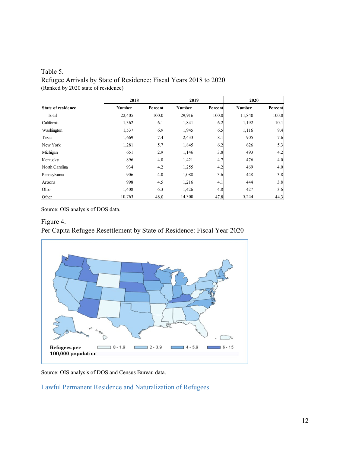## Table 5.

| Refugee Arrivals by State of Residence: Fiscal Years 2018 to 2020 |
|-------------------------------------------------------------------|
| (Ranked by 2020 state of residence)                               |

|                           |        | 2018    |        | 2019    | 2020   |         |  |
|---------------------------|--------|---------|--------|---------|--------|---------|--|
| <b>State of residence</b> | Number | Percent | Number | Percent | Number | Percent |  |
| Total                     | 22,405 | 100.0   | 29,916 | 100.0   | 11,840 | 100.0   |  |
| California                | 1,362  | 6.1     | 1,841  | 6.2     | 1,192  | 10.1    |  |
| Washington                | 1,537  | 6.9     | 1,945  | 6.5     | 1,116  | 9.4     |  |
| <b>Texas</b>              | 1,669  | 7.4     | 2,433  | 8.1     | 905    | 7.6     |  |
| New York                  | 1,281  | 5.7     | 1,845  | 6.2     | 626    | 5.3     |  |
| Michigan                  | 651    | 2.9     | 1,146  | 3.8     | 493    | 4.2     |  |
| Kentucky                  | 896    | 4.0     | 1,421  | 4.7     | 476    | 4.0     |  |
| North Carolina            | 934    | 4.2     | 1,255  | 4.2     | 469    | 4.0     |  |
| Pennsylvania              | 906    | 4.0     | 1,088  | 3.6     | 448    | 3.8     |  |
| Arizona                   | 998    | 4.5     | 1,216  | 4.1     | 444    | 3.8     |  |
| Ohio                      | 1,408  | 6.3     | 1,426  | 4.8     | 427    | 3.6     |  |
| Other                     | 10,763 | 48.0    | 14,300 | 47.8    | 5,244  | 44.3    |  |

Source: OIS analysis of DOS data.

## Figure 4.

Per Capita Refugee Resettlement by State of Residence: Fiscal Year 2020



Source: OIS analysis of DOS and Census Bureau data.

Lawful Permanent Residence and Naturalization of Refugees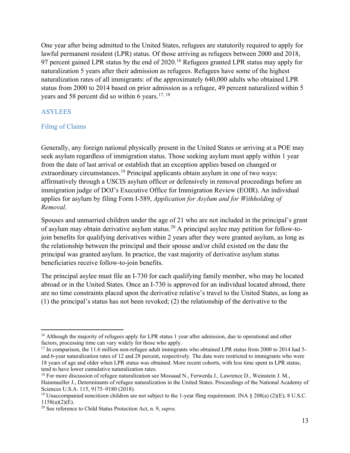One year after being admitted to the United States, refugees are statutorily required to apply for lawful permanent resident (LPR) status. Of those arriving as refugees between 2000 and 2018, 97 percent gained LPR status by the end of 2020.<sup>[16](#page-12-0)</sup> Refugees granted LPR status may apply for naturalization 5 years after their admission as refugees. Refugees have some of the highest naturalization rates of all immigrants: of the approximately 640,000 adults who obtained LPR status from 2000 to 2014 based on prior admission as a refugee, 49 percent naturalized within 5 years and 58 percent did so within 6 years.<sup>[17](#page-12-1), [18](#page-12-2)</sup>

## **ASYLEES**

#### Filing of Claims

Generally, any foreign national physically present in the United States or arriving at a POE may seek asylum regardless of immigration status. Those seeking asylum must apply within 1 year from the date of last arrival or establish that an exception applies based on changed or extraordinary circumstances.<sup>[19](#page-12-3)</sup> Principal applicants obtain asylum in one of two ways: affirmatively through a USCIS asylum officer or defensively in removal proceedings before an immigration judge of DOJ's Executive Office for Immigration Review (EOIR). An individual applies for asylum by filing Form I-589, *Application for Asylum and for Withholding of Removal*.

Spouses and unmarried children under the age of 21 who are not included in the principal's grant of asylum may obtain derivative asylum status.[20](#page-12-4) A principal asylee may petition for follow-tojoin benefits for qualifying derivatives within 2 years after they were granted asylum, as long as the relationship between the principal and their spouse and/or child existed on the date the principal was granted asylum. In practice, the vast majority of derivative asylum status beneficiaries receive follow-to-join benefits.

The principal asylee must file an I-730 for each qualifying family member, who may be located abroad or in the United States. Once an I-730 is approved for an individual located abroad, there are no time constraints placed upon the derivative relative's travel to the United States, as long as (1) the principal's status has not been revoked; (2) the relationship of the derivative to the

<span id="page-12-0"></span><sup>&</sup>lt;sup>16</sup> Although the majority of refugees apply for LPR status 1 year after admission, due to operational and other factors, processing time can vary widely for those who apply.

<span id="page-12-1"></span><sup>&</sup>lt;sup>17</sup> In comparison, the 11.6 million non-refugee adult immigrants who obtained LPR status from 2000 to 2014 had 5and 6-year naturalization rates of 12 and 28 percent, respectively. The data were restricted to immigrants who were 18 years of age and older when LPR status was obtained. More recent cohorts, with less time spent in LPR status, tend to have lower cumulative naturalization rates.

<span id="page-12-2"></span><sup>18</sup> For more discussion of refugee naturalization see Mossaad N., Ferwerda J., Lawrence D., Weinstein J. M., Hainmueller J., Determinants of refugee naturalization in the United States. Proceedings of the National Academy of Sciences U.S.A. 115, 9175–9180 (2018).

<span id="page-12-3"></span><sup>&</sup>lt;sup>19</sup> Unaccompanied noncitizen children are not subject to the 1-year fling requirement. INA § 208(a) (2)(E); 8 U.S.C. 1158(a)(2)(E).

<span id="page-12-4"></span><sup>20</sup> See reference to Child Status Protection Act, n. 9, *supra*.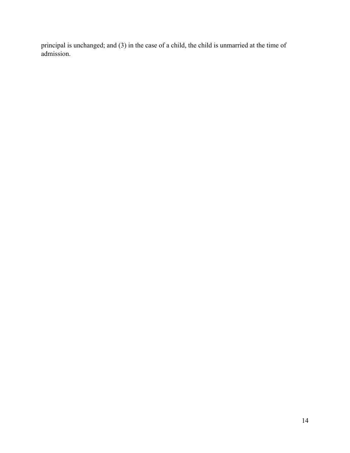principal is unchanged; and (3) in the case of a child, the child is unmarried at the time of admission.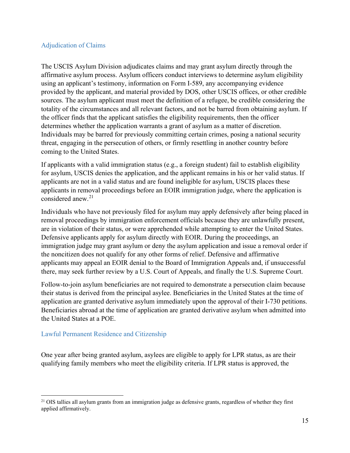## Adjudication of Claims

The USCIS Asylum Division adjudicates claims and may grant asylum directly through the affirmative asylum process. Asylum officers conduct interviews to determine asylum eligibility using an applicant's testimony, information on Form I-589, any accompanying evidence provided by the applicant, and material provided by DOS, other USCIS offices, or other credible sources. The asylum applicant must meet the definition of a refugee, be credible considering the totality of the circumstances and all relevant factors, and not be barred from obtaining asylum. If the officer finds that the applicant satisfies the eligibility requirements, then the officer determines whether the application warrants a grant of asylum as a matter of discretion. Individuals may be barred for previously committing certain crimes, posing a national security threat, engaging in the persecution of others, or firmly resettling in another country before coming to the United States.

If applicants with a valid immigration status (e.g., a foreign student) fail to establish eligibility for asylum, USCIS denies the application, and the applicant remains in his or her valid status. If applicants are not in a valid status and are found ineligible for asylum, USCIS places these applicants in removal proceedings before an EOIR immigration judge, where the application is considered anew.[21](#page-14-0)

Individuals who have not previously filed for asylum may apply defensively after being placed in removal proceedings by immigration enforcement officials because they are unlawfully present, are in violation of their status, or were apprehended while attempting to enter the United States. Defensive applicants apply for asylum directly with EOIR. During the proceedings, an immigration judge may grant asylum or deny the asylum application and issue a removal order if the noncitizen does not qualify for any other forms of relief. Defensive and affirmative applicants may appeal an EOIR denial to the Board of Immigration Appeals and, if unsuccessful there, may seek further review by a U.S. Court of Appeals, and finally the U.S. Supreme Court.

Follow-to-join asylum beneficiaries are not required to demonstrate a persecution claim because their status is derived from the principal asylee. Beneficiaries in the United States at the time of application are granted derivative asylum immediately upon the approval of their I-730 petitions. Beneficiaries abroad at the time of application are granted derivative asylum when admitted into the United States at a POE.

## Lawful Permanent Residence and Citizenship

One year after being granted asylum, asylees are eligible to apply for LPR status, as are their qualifying family members who meet the eligibility criteria. If LPR status is approved, the

<span id="page-14-0"></span><sup>&</sup>lt;sup>21</sup> OIS tallies all asylum grants from an immigration judge as defensive grants, regardless of whether they first applied affirmatively.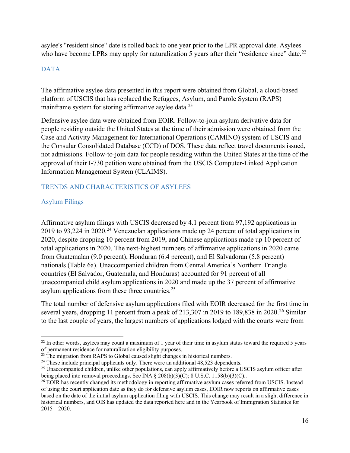asylee's "resident since" date is rolled back to one year prior to the LPR approval date. Asylees who have become LPRs may apply for naturalization 5 years after their "residence since" date.<sup>[22](#page-15-0)</sup>

## DATA

The affirmative asylee data presented in this report were obtained from Global, a cloud-based platform of USCIS that has replaced the Refugees, Asylum, and Parole System (RAPS) mainframe system for storing affirmative asylee data.<sup>[23](#page-15-1)</sup>

Defensive asylee data were obtained from EOIR. Follow-to-join asylum derivative data for people residing outside the United States at the time of their admission were obtained from the Case and Activity Management for International Operations (CAMINO) system of USCIS and the Consular Consolidated Database (CCD) of DOS. These data reflect travel documents issued, not admissions. Follow-to-join data for people residing within the United States at the time of the approval of their I-730 petition were obtained from the USCIS Computer-Linked Application Information Management System (CLAIMS).

# TRENDS AND CHARACTERISTICS OF ASYLEES

# Asylum Filings

Affirmative asylum filings with USCIS decreased by 4.1 percent from 97,192 applications in 2019 to 93,2[24](#page-15-2) in 2020.<sup>24</sup> Venezuelan applications made up 24 percent of total applications in 2020, despite dropping 10 percent from 2019, and Chinese applications made up 10 percent of total applications in 2020. The next-highest numbers of affirmative applications in 2020 came from Guatemalan (9.0 percent), Honduran (6.4 percent), and El Salvadoran (5.8 percent) nationals (Table 6a). Unaccompanied children from Central America's Northern Triangle countries (El Salvador, Guatemala, and Honduras) accounted for 91 percent of all unaccompanied child asylum applications in 2020 and made up the 37 percent of affirmative asylum applications from these three countries.<sup>[25](#page-15-3)</sup>

The total number of defensive asylum applications filed with EOIR decreased for the first time in several years, dropping 11 percent from a peak of 213,307 in 2019 to 189,838 in 2020.<sup>[26](#page-15-4)</sup> Similar to the last couple of years, the largest numbers of applications lodged with the courts were from

<span id="page-15-0"></span> $22$  In other words, asylees may count a maximum of 1 year of their time in asylum status toward the required 5 years of permanent residence for naturalization eligibility purposes.

<span id="page-15-1"></span><sup>&</sup>lt;sup>23</sup> The migration from RAPS to Global caused slight changes in historical numbers.

<span id="page-15-2"></span> $^{24}$  These include principal applicants only. There were an additional 48,523 dependents.

<span id="page-15-3"></span><sup>&</sup>lt;sup>25</sup> Unaccompanied children, unlike other populations, can apply affirmatively before a USCIS asylum officer after being placed into removal proceedings. See INA  $\frac{8208(b)(3)(C)}{8 \text{ U.S.C.}}$  1158(b)(3)(C).

<span id="page-15-4"></span> $26$  EOIR has recently changed its methodology in reporting affirmative asylum cases referred from USCIS. Instead of using the court application date as they do for defensive asylum cases, EOIR now reports on affirmative cases based on the date of the initial asylum application filing with USCIS. This change may result in a slight difference in historical numbers, and OIS has updated the data reported here and in the Yearbook of Immigration Statistics for  $2015 - 2020.$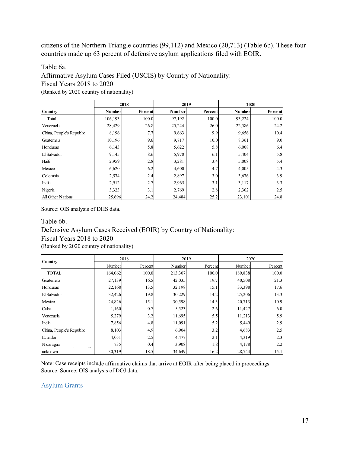citizens of the Northern Triangle countries (99,112) and Mexico (20,713) (Table 6b). These four countries made up 63 percent of defensive asylum applications filed with EOIR.

## Table 6a.

Affirmative Asylum Cases Filed (USCIS) by Country of Nationality: Fiscal Years 2018 to 2020 (Ranked by 2020 country of nationality)

|                          |         | 2018    |               | 2019    |        | 2020    |
|--------------------------|---------|---------|---------------|---------|--------|---------|
| <b>Country</b>           | Number  | Percent | <b>Number</b> | Percent | Number | Percent |
| Total                    | 106,193 | 100.0   | 97,192        | 100.0   | 93,224 | 100.0   |
| Venezuela                | 28,429  | 26.8    | 25,224        | 26.0    | 22,586 | 24.2    |
| China, People's Republic | 8,196   | 7.7     | 9,663         | 9.9     | 9,656  | 10.4    |
| Guatemala                | 10,196  | 9.6     | 9,717         | 10.0    | 8,361  | 9.0     |
| Honduras                 | 6,143   | 5.8     | 5,622         | 5.8     | 6,008  | 6.4     |
| El Salvador              | 9,145   | 8.6     | 5,970         | 6.1     | 5,404  | 5.8     |
| Haiti                    | 2,959   | 2.8     | 3,281         | 3.4     | 5,008  | 5.4     |
| Mexico                   | 6,620   | 6.2     | 4,600         | 4.7     | 4,005  | 4.3     |
| Colombia                 | 2,574   | 2.4     | 2,897         | 3.0     | 3,676  | 3.9     |
| India                    | 2,912   | 2.7     | 2,965         | 3.1     | 3,117  | 3.3     |
| Nigeria                  | 3,323   | 3.1     | 2,769         | 2.8     | 2,302  | 2.5     |
| All Other Nations        | 25,696  | 24.2    | 24,484        | 25.2    | 23,101 | 24.8    |

Source: OIS analysis of DHS data.

#### Table 6b.

Defensive Asylum Cases Received (EOIR) by Country of Nationality:

Fiscal Years 2018 to 2020

(Ranked by 2020 country of nationality)

| <b>Country</b>           |         | 2018    |         | 2019    | 2020    |         |
|--------------------------|---------|---------|---------|---------|---------|---------|
|                          | Number  | Percent | Number  | Percent | Number  | Percent |
| <b>TOTAL</b>             | 164,062 | 100.0   | 213,307 | 100.0   | 189,838 | 100.0   |
| Guatemala                | 27,139  | 16.5    | 42,035  | 19.7    | 40,508  | 21.3    |
| Honduras                 | 22,168  | 13.5    | 32,198  | 15.1    | 33,398  | 17.6    |
| El Salvador              | 32,426  | 19.8    | 30,229  | 14.2    | 25,206  | 13.3    |
| Mexico                   | 24,826  | 15.1    | 30,598  | 14.3    | 20,713  | 10.9    |
| Cuba                     | 1,160   | 0.7     | 5,523   | 2.6     | 11,427  | 6.0     |
| Venezuela                | 5,279   | 3.2     | 11,695  | 5.5     | 11,213  | 5.9     |
| India                    | 7,856   | 4.8     | 11,091  | 5.2     | 5,449   | 2.9     |
| China, People's Republic | 8,103   | 4.9     | 6,904   | 3.2     | 4,683   | 2.5     |
| Ecuador                  | 4,051   | 2.5     | 4,477   | 2.1     | 4,319   | 2.3     |
| Nicaragua<br>$\circ$     | 735     | 0.4     | 3,908   | 1.8     | 4,178   | 2.2     |
| unknown                  | 30,319  | 18.5    | 34,649  | 16.2    | 28,744  | 15.1    |

Note: Case receipts include affirmative claims that arrive at EOIR after being placed in proceedings. Source: Source: OIS analysis of DOJ data.

## Asylum Grants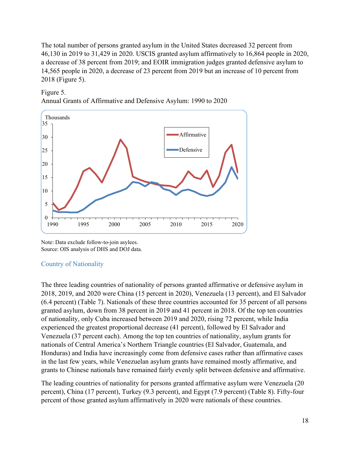The total number of persons granted asylum in the United States decreased 32 percent from 46,130 in 2019 to 31,429 in 2020. USCIS granted asylum affirmatively to 16,864 people in 2020, a decrease of 38 percent from 2019; and EOIR immigration judges granted defensive asylum to 14,565 people in 2020, a decrease of 23 percent from 2019 but an increase of 10 percent from 2018 (Figure 5).





Note: Data exclude follow-to-join asylees. Source: OIS analysis of DHS and DOJ data.

## Country of Nationality

The three leading countries of nationality of persons granted affirmative or defensive asylum in 2018, 2019, and 2020 were China (15 percent in 2020), Venezuela (13 percent), and El Salvador (6.4 percent) (Table 7). Nationals of these three countries accounted for 35 percent of all persons granted asylum, down from 38 percent in 2019 and 41 percent in 2018. Of the top ten countries of nationality, only Cuba increased between 2019 and 2020, rising 72 percent, while India experienced the greatest proportional decrease (41 percent), followed by El Salvador and Venezuela (37 percent each). Among the top ten countries of nationality, asylum grants for nationals of Central America's Northern Triangle countries (El Salvador, Guatemala, and Honduras) and India have increasingly come from defensive cases rather than affirmative cases in the last few years, while Venezuelan asylum grants have remained mostly affirmative, and grants to Chinese nationals have remained fairly evenly split between defensive and affirmative.

The leading countries of nationality for persons granted affirmative asylum were Venezuela (20 percent), China (17 percent), Turkey (9.3 percent), and Egypt (7.9 percent) (Table 8). Fifty-four percent of those granted asylum affirmatively in 2020 were nationals of these countries.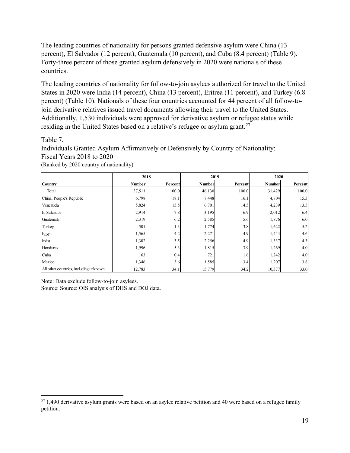The leading countries of nationality for persons granted defensive asylum were China (13 percent), El Salvador (12 percent), Guatemala (10 percent), and Cuba (8.4 percent) (Table 9). Forty-three percent of those granted asylum defensively in 2020 were nationals of these countries.

The leading countries of nationality for follow-to-join asylees authorized for travel to the United States in 2020 were India (14 percent), China (13 percent), Eritrea (11 percent), and Turkey (6.8 percent) (Table 10). Nationals of these four countries accounted for 44 percent of all follow-tojoin derivative relatives issued travel documents allowing their travel to the United States. Additionally, 1,530 individuals were approved for derivative asylum or refugee status while residing in the United States based on a relative's refugee or asylum grant.<sup>[27](#page-18-0)</sup>

Table 7.

Individuals Granted Asylum Affirmatively or Defensively by Country of Nationality: Fiscal Years 2018 to 2020

|                                        |        | 2018    |               | 2019    | 2020   |         |
|----------------------------------------|--------|---------|---------------|---------|--------|---------|
| <b>Country</b>                         | Number | Percent | <b>Number</b> | Percent | Number | Percent |
| Total                                  | 37,511 | 100.0   | 46,130        | 100.0   | 31,429 | 100.0   |
| China, People's Republic               | 6,798  | 18.1    | 7,448         | 16.1    | 4,804  | 15.3    |
| Venezuela                              | 5,824  | 15.5    | 6,701         | 14.5    | 4,239  | 13.5    |
| El Salvador                            | 2,914  | 7.8     | 3,195         | 6.9     | 2,012  | 6.4     |
| Guatemala                              | 2,319  | 6.2     | 2,585         | 5.6     | 1,876  | 6.0     |
| Turkey                                 | 501    | 1.3     | 1,774         | 3.8     | 1,622  | 5.2     |
| Egypt                                  | 1,565  | 4.2     | 2,271         | 4.9     | 1,444  | 4.6     |
| India                                  | 1,302  | 3.5     | 2,256         | 4.9     | 1,337  | 4.3     |
| Honduras                               | 1,996  | 5.3     | 1,815         | 3.9     | 1,269  | 4.0     |
| Cuba                                   | 163    | 0.4     | 721           | 1.6     | 1,242  | 4.0     |
| Mexico                                 | 1,346  | 3.6     | 1,585         | 3.4     | 1,207  | 3.8     |
| All other countries, including unknown | 12,783 | 34.1    | 15,779        | 34.2    | 10,377 | 33.0    |

(Ranked by 2020 country of nationality)

Note: Data exclude follow-to-join asylees.

Source: Source: OIS analysis of DHS and DOJ data.

<span id="page-18-0"></span> $27$  1,490 derivative asylum grants were based on an asylee relative petition and 40 were based on a refugee family petition.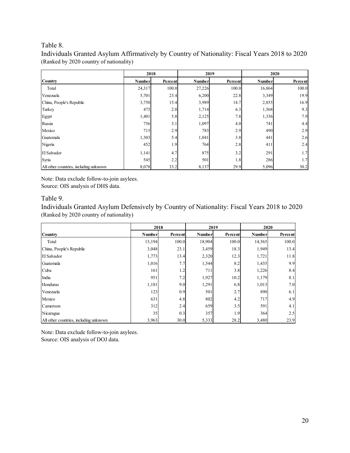#### Table 8.

|                                        | 2018   |         |        | 2019    |        | 2020    |
|----------------------------------------|--------|---------|--------|---------|--------|---------|
| <b>Country</b>                         | Number | Percent | Number | Percent | Number | Percent |
| Total                                  | 24,317 | 100.0   | 27,226 | 100.0   | 16,864 | 100.0   |
| Venezuela                              | 5,701  | 23.4    | 6,200  | 22.8    | 3,349  | 19.9    |
| China, People's Republic               | 3,750  | 15.4    | 3,989  | 14.7    | 2,855  | 16.9    |
| Turkey                                 | 475    | 2.0     | 1,714  | 6.3     | 1,568  | 9.3     |
| Egypt                                  | 1,401  | 5.8     | 2,125  | 7.8     | 1,336  | 7.9     |
| Russia                                 | 756    | 3.1     | 1,097  | 4.0     | 741    | 4.4     |
| Mexico                                 | 715    | 2.9     | 783    | 2.9     | 490    | 2.9     |
| Guatemala                              | 1,303  | 5.4     | 1,041  | 3.8     | 441    | 2.6     |
| Nigeria                                | 452    | 1.9     | 764    | 2.8     | 411    | 2.4     |
| El Salvador                            | 1,141  | 4.7     | 875    | 3.2     | 291    | 1.7     |
| Syria                                  | 545    | 2.2     | 501    | 1.8     | 286    | 1.7     |
| All other countries, including unknown | 8,078  | 33.2    | 8,137  | 29.9    | 5,096  | 30.2    |

Individuals Granted Asylum Affirmatively by Country of Nationality: Fiscal Years 2018 to 2020 (Ranked by 2020 country of nationality)

Note: Data exclude follow-to-join asylees. Source: OIS analysis of DHS data.

#### Table 9.

Individuals Granted Asylum Defensively by Country of Nationality: Fiscal Years 2018 to 2020 (Ranked by 2020 country of nationality)

|                                        | 2018          |         |               | 2019    | 2020   |         |
|----------------------------------------|---------------|---------|---------------|---------|--------|---------|
| <b>Country</b>                         | <b>Number</b> | Percent | <b>Number</b> | Percent | Number | Percent |
| Total                                  | 13,194        | 100.0   | 18,904        | 100.0   | 14,565 | 100.0   |
| China, People's Republic               | 3,048         | 23.1    | 3,459         | 18.3    | 1,949  | 13.4    |
| El Salvador                            | 1,773         | 13.4    | 2,320         | 12.3    | 1,721  | 11.8    |
| Guatemala                              | 1,016         | 7.7     | 1,544         | 8.2     | 1,435  | 9.9     |
| Cuba                                   | 161           | 1.2     | 711           | 3.8     | 1,226  | 8.4     |
| India                                  | 951           | 7.2     | 1,927         | 10.2    | 1,179  | 8.1     |
| Honduras                               | 1,181         | 9.0     | 1,291         | 6.8     | 1,013  | 7.0     |
| Venezuela                              | 123           | 0.9     | 501           | 2.7     | 890    | 6.1     |
| Mexico                                 | 631           | 4.8     | 802           | 4.2     | 717    | 4.9     |
| Cameroon                               | 312           | 2.4     | 659           | 3.5     | 591    | 4.1     |
| Nicaragua                              | 35            | 0.3     | 357           | 1.9     | 364    | 2.5     |
| All other countries, including unknown | 3,963         | 30.0    | 5,333         | 28.2    | 3,480  | 23.9    |

Note: Data exclude follow-to-join asylees. Source: OIS analysis of DOJ data.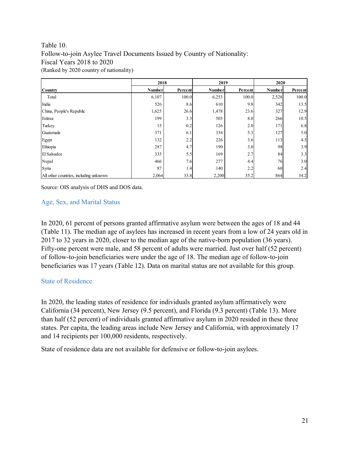# Table 10. Follow-to-join Asylee Travel Documents Issued by Country of Nationality: Fiscal Years 2018 to 2020 (Ranked by 2020 country of nationality)

|                                        | 2018   |         | 2019   |         | 2020   |         |
|----------------------------------------|--------|---------|--------|---------|--------|---------|
| <b>Country</b>                         | Number | Percent | Number | Percent | Number | Percent |
| Total                                  | 6,107  | 100.0   | 6,253  | 100.0   | 2,528  | 100.0   |
| India                                  | 526    | 8.6     | 610    | 9.8     | 342    | 13.5    |
| China, People's Republic               | 1,625  | 26.6    | 1,478  | 23.6    | 327    | 12.9    |
| Eritrea                                | 199    | 3.3     | 503    | 8.0     | 266    | 10.5    |
| Turkey                                 | 15     | 0.2     | 126    | 2.0     | 171    | 6.8     |
| Guatemala                              | 371    | 6.1     | 334    | 5.3     | 127    | 5.0     |
| Egypt                                  | 132    | 2.2     | 226    | 3.6     | 113    | 4.5     |
| Ethiopia                               | 287    | 4.7     | 190    | 3.0     | 98     | 3.9     |
| El Salvador                            | 335    | 5.5     | 169    | 2.7     | 84     | 3.3     |
| Nepal                                  | 466    | 7.6     | 277    | 4.4     | 76     | 3.0     |
| Syria                                  | 87     | 1.4     | 140    | 2.2     | 60     | 2.4     |
| All other countries, including unknown | 2,064  | 33.8    | 2,200  | 35.2    | 864    | 34.2    |

Source: OIS analysis of DHS and DOS data.

## Age, Sex, and Marital Status

In 2020, 61 percent of persons granted affirmative asylum were between the ages of 18 and 44 (Table 11). The median age of asylees has increased in recent years from a low of 24 years old in 2017 to 32 years in 2020, closer to the median age of the native-born population (36 years). Fifty-one percent were male, and 58 percent of adults were married. Just over half (52 percent) of follow-to-join beneficiaries were under the age of 18. The median age of follow-to-join beneficiaries was 17 years (Table 12). Data on marital status are not available for this group.

#### State of Residence

In 2020, the leading states of residence for individuals granted asylum affirmatively were California (34 percent), New Jersey (9.5 percent), and Florida (9.3 percent) (Table 13). More than half (52 percent) of individuals granted affirmative asylum in 2020 resided in these three states. Per capita, the leading areas include New Jersey and California, with approximately 17 and 14 recipients per 100,000 residents, respectively.

State of residence data are not available for defensive or follow-to-join asylees.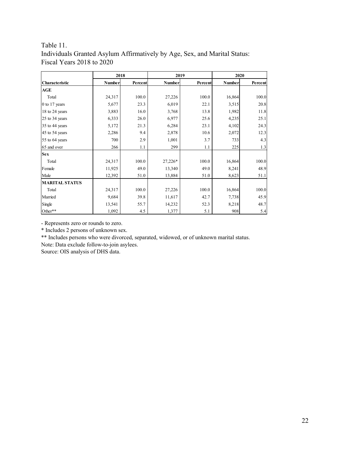# Table 11.

| Individuals Granted Asylum Affirmatively by Age, Sex, and Marital Status: |  |  |
|---------------------------------------------------------------------------|--|--|
| Fiscal Years 2018 to 2020                                                 |  |  |

|                       | 2018          |         |               | 2019    | 2020   |         |
|-----------------------|---------------|---------|---------------|---------|--------|---------|
| Characteristic        | <b>Number</b> | Percent | <b>Number</b> | Percent | Number | Percent |
| AGE                   |               |         |               |         |        |         |
| Total                 | 24,317        | 100.0   | 27,226        | 100.0   | 16,864 | 100.0   |
| 0 to 17 years         | 5,677         | 23.3    | 6,019         | 22.1    | 3,515  | 20.8    |
| 18 to 24 years        | 3,883         | 16.0    | 3,768         | 13.8    | 1,982  | 11.8    |
| 25 to 34 years        | 6,333         | 26.0    | 6,977         | 25.6    | 4,235  | 25.1    |
| 35 to 44 years        | 5,172         | 21.3    | 6,284         | 23.1    | 4,102  | 24.3    |
| 45 to 54 years        | 2,286         | 9.4     | 2,878         | 10.6    | 2,072  | 12.3    |
| 55 to 64 years        | 700           | 2.9     | 1,001         | 3.7     | 733    | 4.3     |
| 65 and over           | 266           | 1.1     | 299           | 1.1     | 225    | 1.3     |
| <b>Sex</b>            |               |         |               |         |        |         |
| Total                 | 24,317        | 100.0   | 27,226*       | 100.0   | 16,864 | 100.0   |
| Female                | 11,925        | 49.0    | 13,340        | 49.0    | 8,241  | 48.9    |
| Male                  | 12,392        | 51.0    | 13,884        | 51.0    | 8,623  | 51.1    |
| <b>MARITAL STATUS</b> |               |         |               |         |        |         |
| Total                 | 24,317        | 100.0   | 27,226        | 100.0   | 16,864 | 100.0   |
| Married               | 9,684         | 39.8    | 11,617        | 42.7    | 7,738  | 45.9    |
| Single                | 13,541        | 55.7    | 14,232        | 52.3    | 8,218  | 48.7    |
| Other**               | 1,092         | 4.5     | 1,377         | 5.1     | 908    | 5.4     |

- Represents zero or rounds to zero.

\* Includes 2 persons of unknown sex.

\*\* Includes persons who were divorced, separated, widowed, or of unknown marital status.

Note: Data exclude follow-to-join asylees.

Source: OIS analysis of DHS data.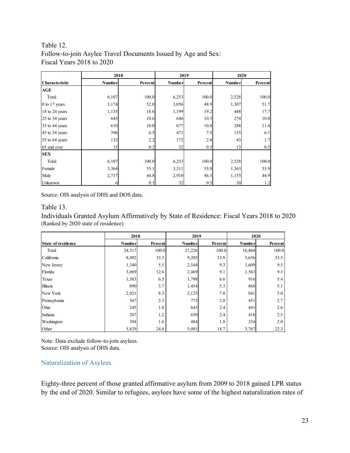## Table 12. Follow-to-join Asylee Travel Documents Issued by Age and Sex: Fiscal Years 2018 to 2020

|                       |               | 2018    |               | 2019    |               | 2020    |
|-----------------------|---------------|---------|---------------|---------|---------------|---------|
| <b>Characteristic</b> | <b>Number</b> | Percent | <b>Number</b> | Percent | <b>Number</b> | Percent |
| AGE                   |               |         |               |         |               |         |
| Total                 | 6,107         | 100.0   | 6,253         | 100.0   | 2,528         | 100.0   |
| 0 to 17 years         | 3,174         | 52.0    | 3,056         | 48.9    | 1,307         | 51.7    |
| 18 to 24 years        | 1,135         | 18.6    | 1,199         | 19.2    | 448           | 17.7    |
| 25 to 34 years        | 645           | 10.6    | 646           | 10.3    | 274           | 10.8    |
| 35 to 44 years        | 610           | 10.0    | 677           | 10.8    | 288           | 11.4    |
| 45 to 54 years        | 396           | 6.5     | 471           | 7.5     | 155           | 6.1     |
| 55 to 64 years        | 132           | 2.2     | 172           | 2.8     | 43            | 1.7     |
| 65 and over           | 15            | 0.2     | 32            | 0.5     | 13            | 0.5     |
| <b>SEX</b>            |               |         |               |         |               |         |
| Total                 | 6,107         | 100.0   | 6,253         | 100.0   | 2,528         | 100.0   |
| Female                | 3,364         | 55.1    | 3,311         | 53.0    | 1,363         | 53.9    |
| Male                  | 2,737         | 44.8    | 2,910         | 46.5    | 1,135         | 44.9    |
| Unknown               | 6             | 0.1     | 32            | 0.5     | 30            | 1.2     |

Source: OIS analysis of DHS and DOS data.

## Table 13.

Individuals Granted Asylum Affirmatively by State of Residence: Fiscal Years 2018 to 2020 (Ranked by 2020 state of residence)

|                           |               | 2018    |               | 2019    |        | 2020    |  |
|---------------------------|---------------|---------|---------------|---------|--------|---------|--|
| <b>State of residence</b> | <b>Number</b> | Percent | <b>Number</b> | Percent | Number | Percent |  |
| Total                     | 24,317        | 100.0   | 27,226        | 100.0   | 16,864 | 100.0   |  |
| California                | 8,092         | 33.3    | 9,205         | 33.8    | 5,656  | 33.5    |  |
| New Jersey                | 1,340         | 5.5     | 2,544         | 9.3     | 1,609  | 9.5     |  |
| Florida                   | 3,069         | 12.6    | 2,469         | 9.1     | 1,563  | 9.3     |  |
| Texas                     | 1,583         | 6.5     | 1,798         | 6.6     | 916    | 5.4     |  |
| Illinois                  | 890           | 3.7     | 1,454         | 5.3     | 868    | 5.1     |  |
| New York                  | 2,021         | 8.3     | 2,125         | 7.8     | 841    | 5.0     |  |
| Pennsylvania              | 567           | 2.3     | 773           | 2.8     | 451    | 2.7     |  |
| Ohio                      | 245           | 1.0     | 643           | 2.4     | 441    | 2.6     |  |
| Indiana                   | 287           | 1.2     | 650           | 2.4     | 418    | 2.5     |  |
| Washington                | 394           | 1.6     | 484           | 1.8     | 334    | 2.0     |  |
| Other                     | 5,829         | 24.0    | 5,081         | 18.7    | 3,767  | 22.3    |  |

Note: Data exclude follow-to-join asylees. Source: OIS analysis of DHS data.

## Naturalization of Asylees

Eighty-three percent of those granted affirmative asylum from 2009 to 2018 gained LPR status by the end of 2020. Similar to refugees, asylees have some of the highest naturalization rates of